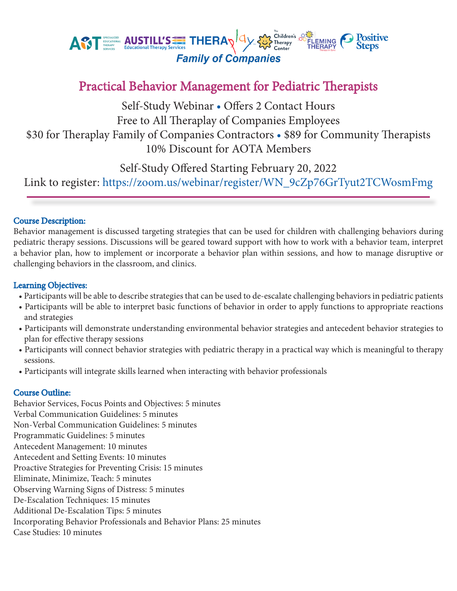

# Practical Behavior Management for Pediatric Therapists

Self-Study Webinar • Offers 2 Contact Hours Free to All Theraplay of Companies Employees \$30 for Theraplay Family of Companies Contractors • \$89 for Community Therapists 10% Discount for AOTA Members

Self-Study Offered Starting February 20, 2022

Link to register: https://zoom.us/webinar/register/WN\_9cZp76GrTyut2TCWosmFmg

# Course Description:

Behavior management is discussed targeting strategies that can be used for children with challenging behaviors during pediatric therapy sessions. Discussions will be geared toward support with how to work with a behavior team, interpret a behavior plan, how to implement or incorporate a behavior plan within sessions, and how to manage disruptive or challenging behaviors in the classroom, and clinics.

## Learning Objectives:

- Participants will be able to describe strategies that can be used to de-escalate challenging behaviors in pediatric patients
- Participants will be able to interpret basic functions of behavior in order to apply functions to appropriate reactions and strategies
- Participants will demonstrate understanding environmental behavior strategies and antecedent behavior strategies to plan for effective therapy sessions
- Participants will connect behavior strategies with pediatric therapy in a practical way which is meaningful to therapy sessions.
- Participants will integrate skills learned when interacting with behavior professionals

# Course Outline:

Behavior Services, Focus Points and Objectives: 5 minutes Verbal Communication Guidelines: 5 minutes Non-Verbal Communication Guidelines: 5 minutes Programmatic Guidelines: 5 minutes Antecedent Management: 10 minutes Antecedent and Setting Events: 10 minutes Proactive Strategies for Preventing Crisis: 15 minutes Eliminate, Minimize, Teach: 5 minutes Observing Warning Signs of Distress: 5 minutes De-Escalation Techniques: 15 minutes Additional De-Escalation Tips: 5 minutes Incorporating Behavior Professionals and Behavior Plans: 25 minutes Case Studies: 10 minutes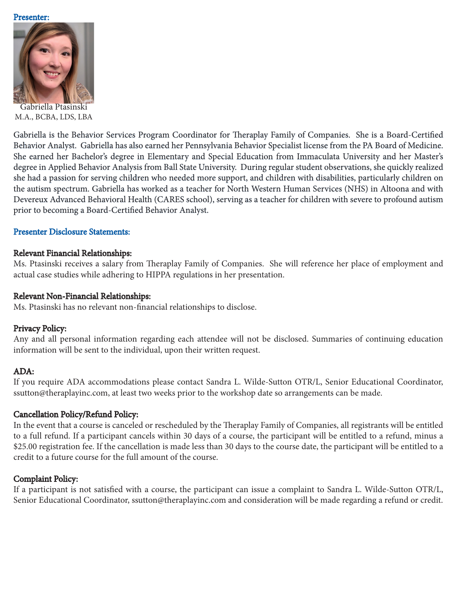#### Presenter:



Gabriella Ptasinski M.A., BCBA, LDS, LBA

Gabriella is the Behavior Services Program Coordinator for Theraplay Family of Companies. She is a Board-Certified Behavior Analyst. Gabriella has also earned her Pennsylvania Behavior Specialist license from the PA Board of Medicine. She earned her Bachelor's degree in Elementary and Special Education from Immaculata University and her Master's degree in Applied Behavior Analysis from Ball State University. During regular student observations, she quickly realized she had a passion for serving children who needed more support, and children with disabilities, particularly children on the autism spectrum. Gabriella has worked as a teacher for North Western Human Services (NHS) in Altoona and with Devereux Advanced Behavioral Health (CARES school), serving as a teacher for children with severe to profound autism prior to becoming a Board-Certified Behavior Analyst.

### Presenter Disclosure Statements:

### Relevant Financial Relationships:

Ms. Ptasinski receives a salary from Theraplay Family of Companies. She will reference her place of employment and actual case studies while adhering to HIPPA regulations in her presentation.

#### Relevant Non-Financial Relationships:

Ms. Ptasinski has no relevant non-financial relationships to disclose.

### Privacy Policy:

Any and all personal information regarding each attendee will not be disclosed. Summaries of continuing education information will be sent to the individual, upon their written request.

### ADA:

If you require ADA accommodations please contact Sandra L. Wilde-Sutton OTR/L, Senior Educational Coordinator, ssutton@theraplayinc.com, at least two weeks prior to the workshop date so arrangements can be made.

### Cancellation Policy/Refund Policy:

In the event that a course is canceled or rescheduled by the Theraplay Family of Companies, all registrants will be entitled to a full refund. If a participant cancels within 30 days of a course, the participant will be entitled to a refund, minus a \$25.00 registration fee. If the cancellation is made less than 30 days to the course date, the participant will be entitled to a credit to a future course for the full amount of the course.

## Complaint Policy:

If a participant is not satisfied with a course, the participant can issue a complaint to Sandra L. Wilde-Sutton OTR/L, Senior Educational Coordinator, ssutton@theraplayinc.com and consideration will be made regarding a refund or credit.